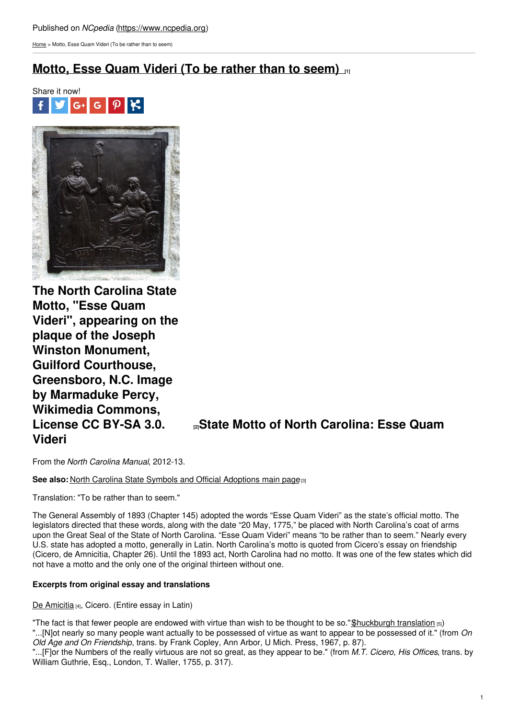[Home](https://www.ncpedia.org/) > Motto, Esse Quam Videri (To be rather than to seem)

# **[Motto,](https://www.ncpedia.org/motto-esse-quam-videri-be-rather) Esse Quam Videri (To be rather than to seem) [1]**





**The North Carolina State Motto, "Esse Quam Videri", appearing on the plaque of the Joseph Winston Monument, Guilford Courthouse, Greensboro, N.C. Image by Marmaduke Percy, Wikimedia Commons, Videri**

## **[License](https://en.wikipedia.org/wiki/Esse_quam_videri) CC BY-SA 3.0. [2]State Motto of North Carolina: Esse Quam**

From the *North Carolina Manual*, 2012-13.

**See also: North Carolina State Symbols and Official [Adoptions](https://ncpedia.org/symbols) main page<sup>[3]</sup>** 

Translation: "To be rather than to seem."

The General Assembly of 1893 (Chapter 145) adopted the words "Esse Quam Videri" as the state's official motto. The legislators directed that these words, along with the date "20 May, 1775," be placed with North Carolina's coat of arms upon the Great Seal of the State of North Carolina. "Esse Quam Videri" means "to be rather than to seem." Nearly every U.S. state has adopted a motto, generally in Latin. North Carolina's motto is quoted from Cicero's essay on friendship (Cicero, de Amnicitia, Chapter 26). Until the 1893 act, North Carolina had no motto. It was one of the few states which did not have a motto and the only one of the original thirteen without one.

### **Excerpts from original essay and translations**

De [Amicitia](http://www.thelatinlibrary.com/cicero/amic.shtml) [4], Cicero. (Entire essay in Latin)

"The fact is that fewer people are endowed with virtue than wish to be thought to be so." Shuckburgh translation  $_{[5]}$ ) "...[N]ot nearly so many people want actually to be possessed of virtue as want to appear to be possessed of it." (from *On Old Age and On Friendship*, trans. by Frank Copley, Ann Arbor, U Mich. Press, 1967, p. 87).

"...[F]or the Numbers of the really virtuous are not so great, as they appear to be." (from *M.T. Cicero, His Offices*, trans. by William Guthrie, Esq., London, T. Waller, 1755, p. 317).